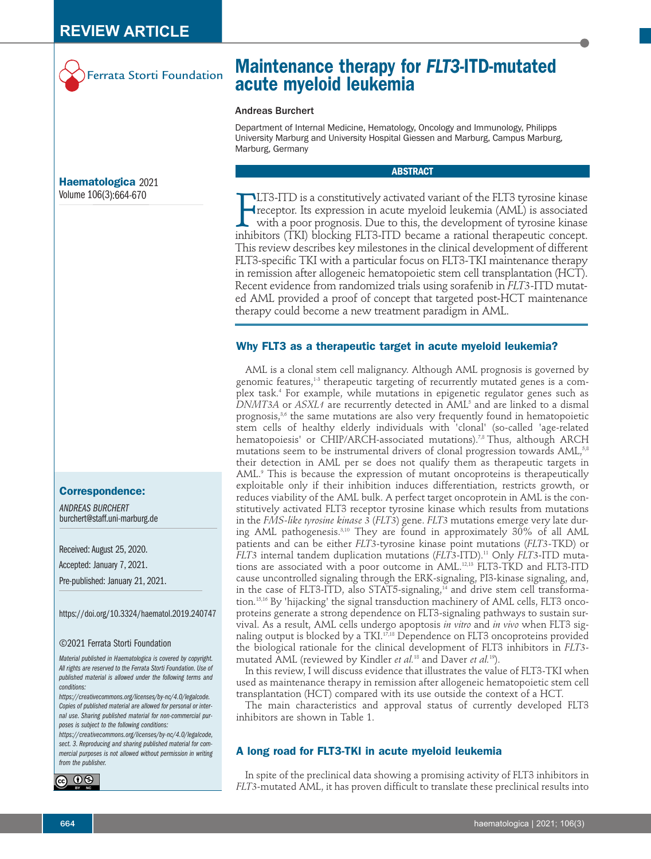

# **Maintenance therapy for** *FLT3-***ITD-mutated acute myeloid leukemia**

### Andreas Burchert

Department of Internal Medicine, Hematology, Oncology and Immunology, Philipps University Marburg and University Hospital Giessen and Marburg, Campus Marburg, Marburg, Germany

### **ABSTRACT**

 $\prod_{\text{inhib}}$ LT3-ITD is a constitutively activated variant of the FLT3 tyrosine kinase receptor. Its expression in acute myeloid leukemia (AML) is associated with a poor prognosis. Due to this, the development of tyrosine kinase inhibitors (TKI) blocking FLT3-ITD became a rational therapeutic concept. This review describes key milestones in the clinical development of different FLT3-specific TKI with a particular focus on FLT3-TKI maintenance therapy in remission after allogeneic hematopoietic stem cell transplantation (HCT). Recent evidence from randomized trials using sorafenib in *FLT3-*ITD mutated AML provided a proof of concept that targeted post-HCT maintenance therapy could become a new treatment paradigm in AML.

### **Why FLT3 as a therapeutic target in acute myeloid leukemia?**

AML is a clonal stem cell malignancy. Although AML prognosis is governed by genomic features, 1-3 therapeutic targeting of recurrently mutated genes is a complex task. <sup>4</sup> For example, while mutations in epigenetic regulator genes such as *DNMT3A* or *ASXL1* are recurrently detected in AML5 and are linked to a dismal prognosis, $^{\scriptscriptstyle 3,6}$  the same mutations are also very frequently found in hematopoietic stem cells of healthy elderly individuals with 'clonal' (so-called 'age-related hematopoiesis' or CHIP/ARCH-associated mutations).<sup>7,8</sup> Thus, although ARCH mutations seem to be instrumental drivers of clonal progression towards AML, $^{\rm 58}$ their detection in AML per se does not qualify them as therapeutic targets in AML. <sup>9</sup> This is because the expression of mutant oncoproteins is therapeutically exploitable only if their inhibition induces differentiation, restricts growth, or reduces viability of the AML bulk. A perfect target oncoprotein in AML is the constitutively activated FLT3 receptor tyrosine kinase which results from mutations in the *FMS-like tyrosine kinase 3* (*FLT3*) gene. *FLT3* mutations emerge very late during AML pathogenesis.<sup>3,10</sup> They are found in approximately 30% of all AML patients and can be either *FLT3*-tyrosine kinase point mutations (*FLT3-*TKD) or *FLT3* internal tandem duplication mutations (*FLT3*-ITD). <sup>11</sup> Only *FLT3*-ITD mutations are associated with a poor outcome in AML. 12,13 FLT3-TKD and FLT3-ITD cause uncontrolled signaling through the ERK-signaling, PI3-kinase signaling, and, in the case of FLT3-ITD, also STAT5-signaling, <sup>14</sup> and drive stem cell transformation. 15,16 By 'hijacking' the signal transduction machinery of AML cells, FLT3 oncoproteins generate a strong dependence on FLT3-signaling pathways to sustain survival. As a result, AML cells undergo apoptosis *in vitro* and *in vivo* when FLT3 signaling output is blocked by a TKI. 17,18 Dependence on FLT3 oncoproteins provided the biological rationale for the clinical development of FLT3 inhibitors in *FLT3* mutated AML (reviewed by Kindler *et al.* <sup>18</sup> and Daver *et al.* 19 ).

In this review, I will discuss evidence that illustrates the value of FLT3-TKI when used as maintenance therapy in remission after allogeneic hematopoietic stem cell transplantation (HCT) compared with its use outside the context of a HCT.

The main characteristics and approval status of currently developed FLT3 inhibitors are shown in Table 1.

# **A long road for FLT3-TKI in acute myeloid leukemia**

In spite of the preclinical data showing a promising activity of FLT3 inhibitors in *FLT3*-mutated AML, it has proven difficult to translate these preclinical results into

# **Haematologica** 2021 Volume 106(3):664-670

### **Correspondence:**

*ANDREAS BURCHERT* burchert@staff.uni-marburg.de

Received: August 25, 2020.

Accepted: January 7, 2021.

Pre-published: January 21, 2021.

https://doi.org/10.3324/haematol.2019.240747

### ©2021 Ferrata Storti Foundation

*Material published in Haematologica is covered by copyright. All rights are reserved to the Ferrata Storti Foundation. Use of published material is allowed under the following terms and conditions:*

*https://creativecommons.org/licenses/by-nc/4.0/legalcode. Copies of published material are allowed for personal or internal use. Sharing published material for non-commercial purposes is subject to the following conditions:*

*https://creativecommons.org/licenses/by-nc/4.0/legalcode, sect. 3. Reproducing and sharing published material for commercial purposes is not allowed without permission in writing from the publisher.*

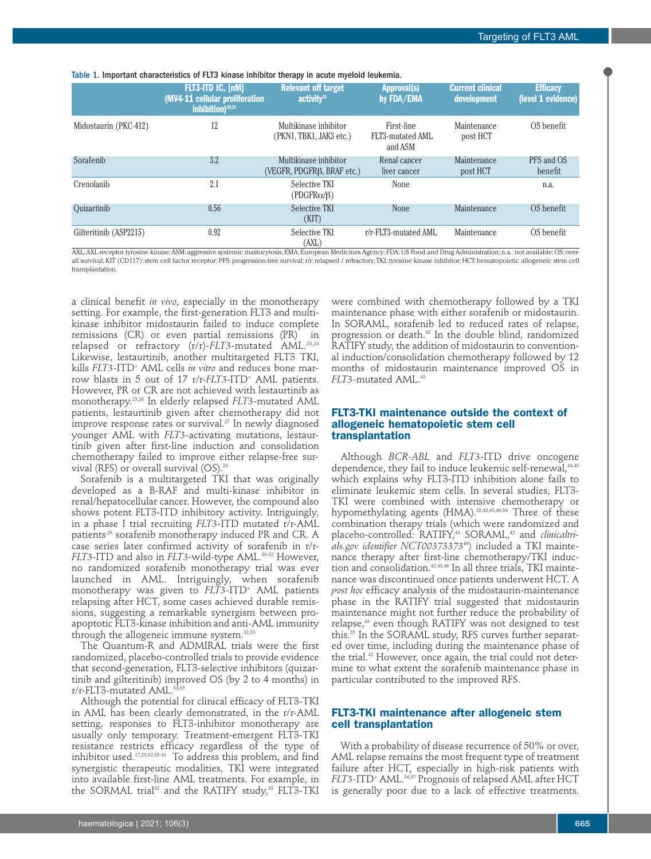| FLT3-ITD IC <sub>®</sub> [nM]<br>inhibition) $^{20,21}$ | <b>Relevant off target</b><br>activity <sup>22</sup> | <b>Approval(s)</b><br>by FDA/EMA                             | <b>Current clinical</b><br>development | <b>Efficacy</b><br>(level 1 evidence)                                                                                                                                          |
|---------------------------------------------------------|------------------------------------------------------|--------------------------------------------------------------|----------------------------------------|--------------------------------------------------------------------------------------------------------------------------------------------------------------------------------|
| 12                                                      | Multikinase inhibitor<br>(PKN1, TBK1, JAK3 etc.)     | First-line<br>FLT3-mutated AML<br>and ASM                    | Maintenance<br>post HCT                | OS benefit                                                                                                                                                                     |
| 3.2                                                     | Multikinase inhibitor                                | Renal cancer<br>liver cancer                                 | Maintenance<br>post HCT                | PFS and OS<br>benefit                                                                                                                                                          |
| 2.1                                                     | Selective TKI<br>$(PDGFR\alpha/\beta)$               | None                                                         |                                        | n.a.                                                                                                                                                                           |
| 0.56                                                    | Selective TKI<br>(KIT)                               | <b>None</b>                                                  | Maintenance                            | OS benefit                                                                                                                                                                     |
| 0.92                                                    | Selective TKI<br>(AXL)                               | r/r-FLT3-mutated AML                                         | Maintenance                            | OS benefit                                                                                                                                                                     |
|                                                         |                                                      | (MV4-11 cellular proliferation<br>(VEGFR, PDGFRβ, BRAF etc.) |                                        | AXL: AXL receptor tyrosine kinase; ASM: aggressive systemic mastocytosis; EMA: European Medicines Agency; FDA: US Food and Drug Administration; n.a.: not available; OS: over- |

Table 1. Important characteristics of FLT3 kinase inhibitor therapy in acute myeloid leukemia.

all survival;KIT (CD117):stem cell factor receptor; PFS: progression-free survival;r/r:relapsed / refractory;TKI: tyrosine kinase inhibitor; HCT: hematopoietic allogeneic stem cell transplantation.

a clinical benefit *in vivo*, especially in the monotherapy setting. For example, the first-generation FLT3 and multikinase inhibitor midostaurin failed to induce complete remissions (CR) or even partial remissions (PR) in relapsed or refractory (r/r)-*FLT3*-mutated AML. 23,24 Likewise, lestaurtinib, another multitargeted FLT3 TKI, kills *FLT3-*ITD+ AML cells *in vitro* and reduces bone marrow blasts in 5 out of 17 r/r-FLT3-ITD<sup>+</sup> AML patients. However, PR or CR are not achieved with lestaurtinib as monotherapy. 25,26 In elderly relapsed *FLT3-*mutated AML patients, lestaurtinib given after chemotherapy did not improve response rates or survival. <sup>27</sup> In newly diagnosed younger AML with *FLT3-*activating mutations, lestaurtinib given after first-line induction and consolidation chemotherapy failed to improve either relapse-free survival (RFS) or overall survival (OS). 28

Sorafenib is a multitargeted TKI that was originally developed as a B-RAF and multi-kinase inhibitor in renal/hepatocellular cancer. However, the compound also shows potent FLT3-ITD inhibitory activity. Intriguingly, in a phase I trial recruiting *FLT3-*ITD mutated r/r-AML patients<sup>29</sup> sorafenib monotherapy induced PR and CR. A case series later confirmed activity of sorafenib in r/r-*FLT3*-ITD and also in *FLT3*-wild-type AML. 30-32 However, no randomized sorafenib monotherapy trial was ever launched in AML. Intriguingly, when sorafenib monotherapy was given to *FLT3-*ITD+ AML patients relapsing after HCT, some cases achieved durable remissions, suggesting a remarkable synergism between proapoptotic FLT3-kinase inhibition and anti-AML immunity through the allogeneic immune system. 32,33

The Quantum-R and ADMIRAL trials were the first randomized, placebo-controlled trials to provide evidence that second-generation, FLT3-selective inhibitors (quizartinib and gilteritinib) improved OS (by 2 to 4 months) in r/r-FLT3-mutated AML. 34,35

Although the potential for clinical efficacy of FLT3-TKI in AML has been clearly demonstrated, in the r/r-AML setting, responses to FLT3-inhibitor monotherapy are usually only temporary. Treatment-emergent FLT3-TKI resistance restricts efficacy regardless of the type of inhibitor used. 17,25,32,35-41 To address this problem, and find synergistic therapeutic modalities, TKI were integrated into available first-line AML treatments. For example, in the SORMAL trial <sup>42</sup> and the RATIFY study, <sup>43</sup> FLT3-TKI

were combined with chemotherapy followed by a TKI maintenance phase with either sorafenib or midostaurin. In SORAML, sorafenib led to reduced rates of relapse, progression or death. <sup>42</sup> In the double blind, randomized RATIFY study, the addition of midostaurin to conventional induction/consolidation chemotherapy followed by 12 months of midostaurin maintenance improved OS in *FLT3-*mutated AML. 43

### **FLT3-TKI maintenance outside the context of allogeneic hematopoietic stem cell transplantation**

Although *BCR-ABL* and *FLT3*-ITD drive oncogene dependence, they fail to induce leukemic self-renewal, 44,45 which explains why FLT3-ITD inhibition alone fails to eliminate leukemic stem cells. In several studies, FLT3- TKI were combined with intensive chemotherapy or hypomethylating agents (HMA). 28,42,43,46-54 Three of these combination therapy trials (which were randomized and placebo-controlled: RATIFY, <sup>43</sup> SORAML, <sup>42</sup> and *clinicaltrials.gov identifier NCT00373373*<sup>46</sup> ) included a TKI maintenance therapy after first-line chemotherapy/TKI induction and consolidation. 42,43,46 In all three trials, TKI maintenance was discontinued once patients underwent HCT. A *post hoc* efficacy analysis of the midostaurin-maintenance phase in the RATIFY trial suggested that midostaurin maintenance might not further reduce the probability of relapse, <sup>43</sup> even though RATIFY was not designed to test this. <sup>55</sup> In the SORAML study, RFS curves further separated over time, including during the maintenance phase of the trial. <sup>42</sup> However, once again, the trial could not determine to what extent the sorafenib maintenance phase in particular contributed to the improved RFS.

### **FLT3-TKI maintenance after allogeneic stem cell transplantation**

With a probability of disease recurrence of 50% or over, AML relapse remains the most frequent type of treatment failure after HCT, especially in high-risk patients with *FLT3-*ITD+ AML. 56,57 Prognosis of relapsed AML after HCT is generally poor due to a lack of effective treatments.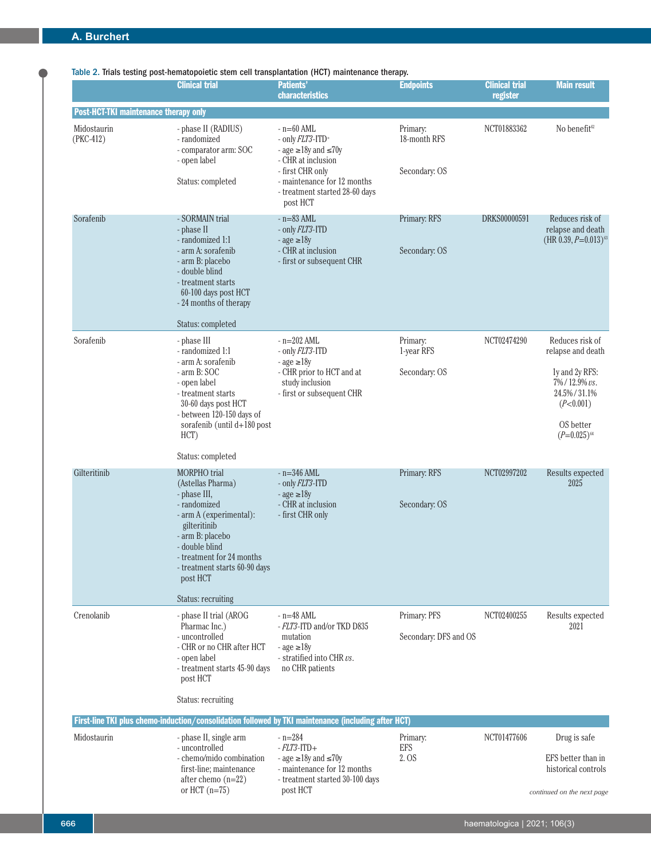## Table 2. Trials testing post-hematopoietic stem cell transplantation (HCT) maintenance therapy.

|                                              | <b>Clinical trial</b>                                                                                                                                                                                                                                     | <b>Patients'</b>                                                                                                                                                                           | <b>Endpoints</b>                          | <b>Clinical trial</b> | <b>Main result</b>                                                                                                                  |
|----------------------------------------------|-----------------------------------------------------------------------------------------------------------------------------------------------------------------------------------------------------------------------------------------------------------|--------------------------------------------------------------------------------------------------------------------------------------------------------------------------------------------|-------------------------------------------|-----------------------|-------------------------------------------------------------------------------------------------------------------------------------|
|                                              |                                                                                                                                                                                                                                                           | characteristics                                                                                                                                                                            |                                           | register              |                                                                                                                                     |
| <b>Post-HCT-TKI maintenance therapy only</b> |                                                                                                                                                                                                                                                           |                                                                                                                                                                                            |                                           |                       |                                                                                                                                     |
| Midostaurin<br>(PKC-412)                     | - phase II (RADIUS)<br>- randomized<br>- comparator arm: SOC<br>- open label<br>Status: completed                                                                                                                                                         | $-$ n=60 AML<br>- only FLT3-ITD+<br>- age $\geq$ 18y and $\leq$ 70y<br>- CHR at inclusion<br>- first CHR only<br>- maintenance for 12 months<br>- treatment started 28-60 days<br>post HCT | Primary:<br>18-month RFS<br>Secondary: OS | NCT01883362           | No benefit $62$                                                                                                                     |
| Sorafenib                                    | - SORMAIN trial<br>- phase II<br>- randomized 1:1<br>- arm A: sorafenib<br>- arm B: placebo<br>- double blind<br>- treatment starts<br>60-100 days post HCT<br>- 24 months of therapy<br>Status: completed                                                | $-$ n=83 AML<br>- only FLT3-ITD<br>$-$ age $\geq$ 18y<br>- CHR at inclusion<br>- first or subsequent CHR                                                                                   | Primary: RFS<br>Secondary: OS             | DRKS00000591          | Reduces risk of<br>relapse and death<br>$(HR\ 0.39, P=0.013)^{63}$                                                                  |
| Sorafenib                                    | - phase III<br>- randomized 1:1<br>- arm A: sorafenib<br>- arm B: SOC<br>- open label<br>- treatment starts<br>30-60 days post HCT<br>- between 120-150 days of<br>sorafenib (until d+180 post<br>HCT)<br>Status: completed                               | $-$ n=202 AML<br>- only <i>FLT3</i> -ITD<br>$-$ age $\geq$ 18y<br>- CHR prior to HCT and at<br>study inclusion<br>- first or subsequent CHR                                                | Primary:<br>1-year RFS<br>Secondary: OS   | NCT02474290           | Reduces risk of<br>relapse and death<br>ly and 2y RFS:<br>7%/12.9% vs.<br>24.5%/31.1%<br>(P<0.001)<br>OS better<br>$(P=0.025)^{64}$ |
| Gilteritinib                                 | <b>MORPHO</b> trial<br>(Astellas Pharma)<br>- phase III,<br>- randomized<br>- arm A (experimental):<br>gilteritinib<br>- arm B: placebo<br>- double blind<br>- treatment for 24 months<br>- treatment starts 60-90 days<br>post HCT<br>Status: recruiting | $-$ n=346 AML<br>- only <i>FLT3</i> -ITD<br>$-$ age $\geq$ 18y<br>- CHR at inclusion<br>- first CHR only                                                                                   | Primary: RFS<br>Secondary: OS             | NCT02997202           | Results expected<br>2025                                                                                                            |
| Crenolanib                                   | - phase II trial (AROG<br>Pharmac Inc.)<br>- uncontrolled<br>- CHR or no CHR after HCT<br>- open label<br>- treatment starts 45-90 days<br>post HCT<br>Status: recruiting                                                                                 | $-$ n=48 AML<br>- FLT3-ITD and/or TKD D835<br>mutation<br>$-$ age $\geq$ 18y<br>- stratified into CHR vs.<br>no CHR patients                                                               | Primary: PFS<br>Secondary: DFS and OS     | NCT02400255           | Results expected<br>2021                                                                                                            |
|                                              |                                                                                                                                                                                                                                                           | First-line TKI plus chemo-induction/consolidation followed by TKI maintenance (including after HCT)                                                                                        |                                           |                       |                                                                                                                                     |
| Midostaurin                                  | - phase II, single arm<br>- uncontrolled<br>- chemo/mido combination<br>first-line; maintenance<br>after chemo $(n=22)$<br>or HCT $(n=75)$                                                                                                                | $- n = 284$<br>$-FLT3$ -ITD+<br>- age $\geq$ 18y and $\leq$ 70y<br>- maintenance for 12 months<br>- treatment started 30-100 days<br>post HCT                                              | Primary:<br>EFS<br>2. OS                  | NCT01477606           | Drug is safe<br>EFS better than in<br>historical controls<br>continued on the next page                                             |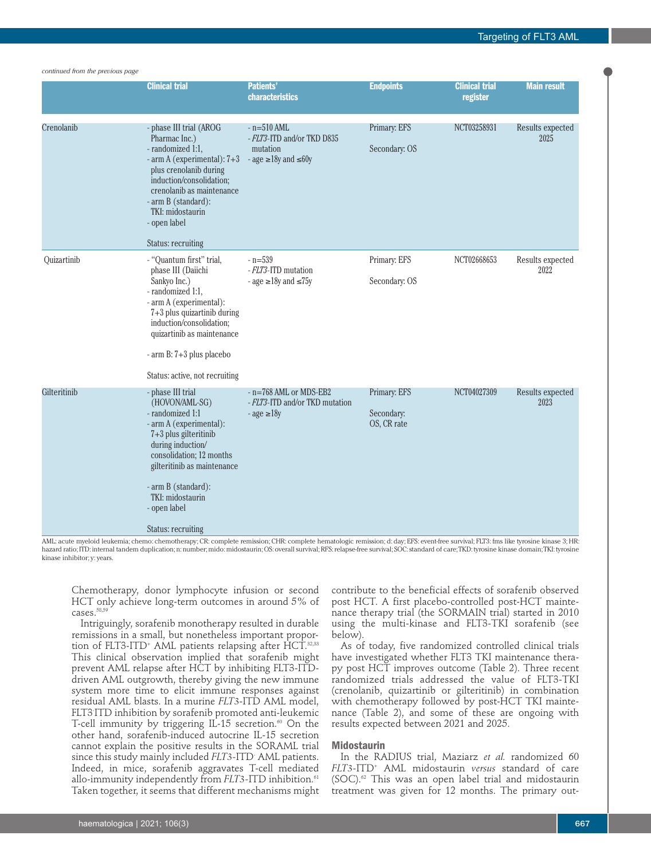#### *continued from the previous page*

|              | <b>Clinical trial</b>                                                                                                                                                                                                                                                  | <b>Patients'</b><br>characteristics                                                           | <b>Endpoints</b>                          | <b>Clinical trial</b><br>register | <b>Main result</b>       |
|--------------|------------------------------------------------------------------------------------------------------------------------------------------------------------------------------------------------------------------------------------------------------------------------|-----------------------------------------------------------------------------------------------|-------------------------------------------|-----------------------------------|--------------------------|
| Crenolanib   | - phase III trial (AROG<br>Pharmac Inc.)<br>- randomized 1:1,<br>- arm A (experimental): 7+3<br>plus crenolanib during<br>induction/consolidation;<br>crenolanib as maintenance<br>- arm B (standard):<br>TKI: midostaurin<br>- open label                             | $-$ n= $510$ AML<br>- FLT3-ITD and/or TKD D835<br>mutation<br>- age $\geq$ 18y and $\leq$ 60y | Primary: EFS<br>Secondary: OS             | NCT03258931                       | Results expected<br>2025 |
|              | Status: recruiting                                                                                                                                                                                                                                                     |                                                                                               |                                           |                                   |                          |
| Ouizartinib  | - "Quantum first" trial,<br>phase III (Daiichi<br>Sankyo Inc.)<br>- randomized 1:1,<br>- arm A (experimental):<br>7+3 plus quizartinib during<br>induction/consolidation;<br>quizartinib as maintenance<br>- arm B: 7+3 plus placebo<br>Status: active, not recruiting | $-$ n=539<br>- FLT3-ITD mutation<br>- age $\geq$ 18y and $\leq$ 75y                           | Primary: EFS<br>Secondary: OS             | NCT02668653                       | Results expected<br>2022 |
| Gilteritinib | - phase III trial<br>(HOVON/AML-SG)<br>- randomized 1:1<br>- arm A (experimental):<br>7+3 plus gilteritinib<br>during induction/<br>consolidation; 12 months<br>gilteritinib as maintenance<br>- arm B (standard):<br>TKI: midostaurin<br>- open label                 | $- n = 768$ AML or MDS-EB2<br>- FLT3-ITD and/or TKD mutation<br>$-$ age $\geq$ 18y            | Primary: EFS<br>Secondary:<br>OS, CR rate | NCT04027309                       | Results expected<br>2023 |
|              | <b>Status: recruiting</b>                                                                                                                                                                                                                                              |                                                                                               |                                           |                                   |                          |

AML: acute myeloid leukemia; chemo: chemotherapy; CR: complete remission; CHR: complete hematologic remission; d: day; EFS: event-free survival; FLT3: fms like tyrosine kinase 3; HR: hazard ratio; ITD: internal tandem duplication;n:number;mido: midostaurin; OS: overall survival; RFS: relapse-free survival; SOC: standard of care; TKD: tyrosine kinase domain; TKI: tyrosine kinase inhibitor; y: years.

Chemotherapy, donor lymphocyte infusion or second HCT only achieve long-term outcomes in around 5% of cases. 58,59

Intriguingly, sorafenib monotherapy resulted in durable remissions in a small, but nonetheless important proportion of FLT3-ITD+ AML patients relapsing after HCT.<sup>32,33</sup> This clinical observation implied that sorafenib might prevent AML relapse after HCT by inhibiting FLT3-ITDdriven AML outgrowth, thereby giving the new immune system more time to elicit immune responses against residual AML blasts. In a murine *FLT3*-ITD AML model, FLT3- ITD inhibition by sorafenib promoted anti-leukemic T-cell immunity by triggering IL-15 secretion. <sup>60</sup> On the other hand, sorafenib-induced autocrine IL-15 secretion cannot explain the positive results in the SORAML trial since this study mainly included *FLT3-*ITD- AML patients. Indeed, in mice, sorafenib aggravates T-cell mediated allo-immunity independently from *FLT3-*ITD inhibition. 61 Taken together, it seems that different mechanisms might contribute to the beneficial effects of sorafenib observed post HCT. A first placebo-controlled post-HCT maintenance therapy trial (the SORMAIN trial) started in 2010 using the multi-kinase and FLT3-TKI sorafenib (see below).

As of today, five randomized controlled clinical trials have investigated whether FLT3 TKI maintenance therapy post HCT improves outcome (Table 2). Three recent randomized trials addressed the value of FLT3-TKI (crenolanib, quizartinib or gilteritinib) in combination with chemotherapy followed by post-HCT TKI maintenance (Table 2), and some of these are ongoing with results expected between 2021 and 2025.

#### **Midostaurin**

In the RADIUS trial, Maziarz *et al.* randomized 60 *FLT3-*ITD+ AML midostaurin *versus* standard of care (SOC). <sup>62</sup> This was an open label trial and midostaurin treatment was given for 12 months. The primary out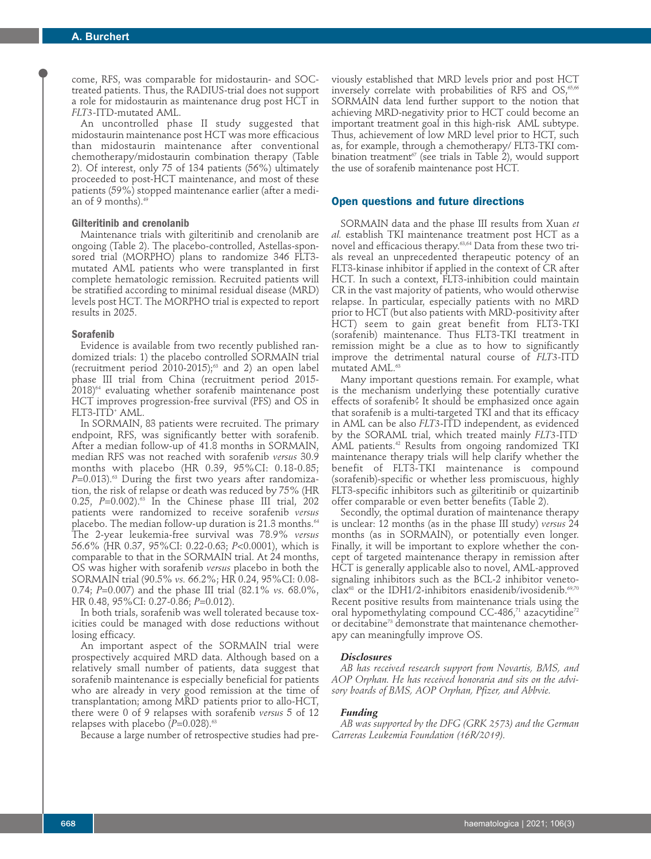come, RFS, was comparable for midostaurin- and SOCtreated patients. Thus, the RADIUS-trial does not support a role for midostaurin as maintenance drug post HCT in *FLT3-*ITD-mutated AML.

An uncontrolled phase II study suggested that midostaurin maintenance post HCT was more efficacious than midostaurin maintenance after conventional chemotherapy/midostaurin combination therapy (Table 2). Of interest, only 75 of 134 patients (56%) ultimately proceeded to post-HCT maintenance, and most of these patients (59%) stopped maintenance earlier (after a median of 9 months). 49

### **Gilteritinib and crenolanib**

Maintenance trials with gilteritinib and crenolanib are ongoing (Table 2). The placebo-controlled, Astellas-sponsored trial (MORPHO) plans to randomize 346 FLT3 mutated AML patients who were transplanted in first complete hematologic remission. Recruited patients will be stratified according to minimal residual disease (MRD) levels post HCT. The MORPHO trial is expected to report results in 2025.

### **Sorafenib**

Evidence is available from two recently published randomized trials: 1) the placebo controlled SORMAIN trial (recruitment period 2010-2015); <sup>63</sup> and 2) an open label phase III trial from China (recruitment period 2015- 2018) <sup>64</sup> evaluating whether sorafenib maintenance post HCT improves progression-free survival (PFS) and OS in FLT3-ITD+ AML.

In SORMAIN, 83 patients were recruited. The primary endpoint, RFS, was significantly better with sorafenib. After a median follow-up of 41.8 months in SORMAIN, median RFS was not reached with sorafenib *versus* 30.9 months with placebo (HR 0.39, 95%CI: 0.18-0.85; *P*=0.013). <sup>63</sup> During the first two years after randomization, the risk of relapse or death was reduced by 75% (HR 0.25, *P*=0.002). <sup>63</sup> In the Chinese phase III trial, 202 patients were randomized to receive sorafenib *versus* placebo. The median follow-up duration is 21.3 months. 64 The 2-year leukemia-free survival was 78.9% *versus* 56.6% (HR 0.37, 95%CI: 0.22-0.63; *P*<0.0001), which is comparable to that in the SORMAIN trial. At 24 months, OS was higher with sorafenib *versus* placebo in both the SORMAIN trial (90.5% *vs.* 66.2%; HR 0.24, 95%CI: 0.08- 0.74; *P*=0.007) and the phase III trial (82.1% *vs.* 68.0%, HR 0.48, 95%CI: 0.27-0.86; *P*=0.012).

In both trials, sorafenib was well tolerated because toxicities could be managed with dose reductions without losing efficacy.

An important aspect of the SORMAIN trial were prospectively acquired MRD data. Although based on a relatively small number of patients, data suggest that sorafenib maintenance is especially beneficial for patients who are already in very good remission at the time of transplantation; among MRD- patients prior to allo-HCT, there were 0 of 9 relapses with sorafenib *versus* 5 of 12 relapses with placebo (*P*=0.028). 63

Because a large number of retrospective studies had pre-

viously established that MRD levels prior and post HCT inversely correlate with probabilities of RFS and  $\mathrm{OS},^{\omega,\mathrm{66}}$ SORMAIN data lend further support to the notion that achieving MRD-negativity prior to HCT could become an important treatment goal in this high-risk AML subtype. Thus, achievement of low MRD level prior to HCT, such as, for example, through a chemotherapy/ FLT3-TKI combination treatment $\sigma$  (see trials in Table 2), would support the use of sorafenib maintenance post HCT.

### **Open questions and future directions**

SORMAIN data and the phase III results from Xuan *et al.* establish TKI maintenance treatment post HCT as a novel and efficacious therapy. 63,64 Data from these two trials reveal an unprecedented therapeutic potency of an FLT3-kinase inhibitor if applied in the context of CR after HCT. In such a context, FLT3-inhibition could maintain CR in the vast majority of patients, who would otherwise relapse. In particular, especially patients with no MRD prior to HCT (but also patients with MRD-positivity after HCT) seem to gain great benefit from FLT3-TKI (sorafenib) maintenance. Thus FLT3-TKI treatment in remission might be a clue as to how to significantly improve the detrimental natural course of *FLT3-*ITD mutated AML. 63

Many important questions remain. For example, what is the mechanism underlying these potentially curative effects of sorafenib? It should be emphasized once again that sorafenib is a multi-targeted TKI and that its efficacy in AML can be also *FLT3*-ITD independent, as evidenced by the SORAML trial, which treated mainly *FLT3-*ITD-AML patients. <sup>42</sup> Results from ongoing randomized TKI maintenance therapy trials will help clarify whether the benefit of FLT3-TKI maintenance is compound (sorafenib)-specific or whether less promiscuous, highly FLT3-specific inhibitors such as gilteritinib or quizartinib offer comparable or even better benefits (Table 2).

Secondly, the optimal duration of maintenance therapy is unclear: 12 months (as in the phase III study) *versus* 24 months (as in SORMAIN), or potentially even longer. Finally, it will be important to explore whether the concept of targeted maintenance therapy in remission after HCT is generally applicable also to novel, AML-approved signaling inhibitors such as the BCL-2 inhibitor venetoclax<sup>68</sup> or the IDH1/2-inhibitors enasidenib/ivosidenib.<sup>69,70</sup> Recent positive results from maintenance trials using the oral hypomethylating compound CC-486,<sup>71</sup> azacytidine<sup>72</sup> or decitabine<sup>73</sup> demonstrate that maintenance chemotherapy can meaningfully improve OS.

### *Disclosures*

*AB has received research support from Novartis, BMS, and AOP Orphan. He has received honoraria and sits on the advisory boards of BMS, AOP Orphan, Pfizer, and Abbvie.*

#### *Funding*

*AB was supported by the DFG (GRK 2573) and the German Carreras Leukemia Foundation (16R/2019).*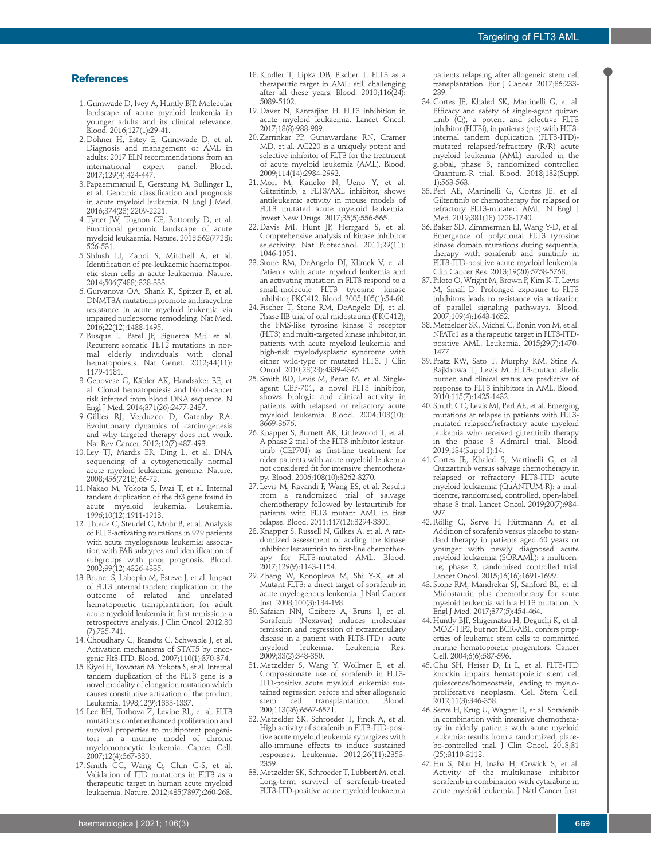### **References**

- 1. Grimwade D, Ivey A, Huntly BJP. Molecular landscape of acute myeloid leukemia in younger adults and its clinical relevance. Blood. 2016;127(1):29-41.
- 2. Döhner H, Estey E, Grimwade D, et al. Diagnosis and management of AML in adults: 2017 ELN recommendations from an international expert panel. 2017;129(4):424-447.
- 3. Papaemmanuil E, Gerstung M, Bullinger L, et al. Genomic classification and prognosis in acute myeloid leukemia. N Engl J Med. 2016;374(23):2209-2221.
- 4.Tyner JW, Tognon CE, Bottomly D, et al. Functional genomic landscape of acute myeloid leukaemia. Nature. 2018;562(7728): 526-531.
- 5. Shlush LI, Zandi S, Mitchell A, et al. Identification of pre-leukaemic haematopoietic stem cells in acute leukaemia. Nature. 2014;506(7488):328-333.
- 6. Guryanova OA, Shank K, Spitzer B, et al. DNMT3A mutations promote anthracycline resistance in acute myeloid leukemia via impaired nucleosome remodeling. Nat Med. 2016;22(12):1488-1495.
- 7. Busque L, Patel JP, Figueroa ME, et al. Recurrent somatic TET2 mutations in normal elderly individuals with clonal hematopoiesis. Nat Genet. 2012;44(11): 1179-1181.
- 8. Genovese G, Kähler AK, Handsaker RE, et al. Clonal hematopoiesis and blood-cancer risk inferred from blood DNA sequence. N Engl J Med. 2014;371(26):2477-2487.
- 9. Gillies RJ, Verduzco D, Gatenby RA. Evolutionary dynamics of carcinogenesis and why targeted therapy does not work. Nat Rev Cancer. 2012;12(7):487-493.
- 10. Ley TJ, Mardis ER, Ding L, et al. DNA sequencing of a cytogenetically normal acute myeloid leukaemia genome. Nature. 2008;456(7218):66-72.
- 11. Nakao M, Yokota S, Iwai T, et al. Internal tandem duplication of the flt3 gene found in acute myeloid leukemia. Leukemia. 1996;10(12):1911-1918.
- 12.Thiede C, Steudel C, Mohr B, et al. Analysis of FLT3-activating mutations in 979 patients with acute myelogenous leukemia: association with FAB subtypes and identification of subgroups with poor prognosis. Blood. 2002;99(12):4326-4335.
- 13. Brunet S, Labopin M, Esteve J, et al. Impact of FLT3 internal tandem duplication on the outcome of related and unrelated hematopoietic transplantation for adult acute myeloid leukemia in first remission: a retrospective analysis. J Clin Oncol. 2012;30 (7):735-741.
- 14. Choudhary C, Brandts C, Schwable J, et al. Activation mechanisms of STAT5 by oncogenic Flt3-ITD. Blood. 2007;110(1):370-374.
- 15.Kiyoi H, Towatari M, Yokota S, et al. Internal tandem duplication of the FLT3 gene is a novel modality of elongation mutation which causes constitutive activation of the product. Leukemia. 1998;12(9):1333-1337.
- 16. Lee BH, Tothova Z, Levine RL, et al. FLT3 mutations confer enhanced proliferation and survival properties to multipotent progenitors in a murine model of chronic myelomonocytic leukemia. Cancer Cell. 2007;12(4):367-380.
- 17. Smith CC, Wang Q, Chin C-S, et al. Validation of ITD mutations in FLT3 as a therapeutic target in human acute myeloid leukaemia. Nature. 2012;485(7397):260-263.
- 18.Kindler T, Lipka DB, Fischer T. FLT3 as a therapeutic target in AML: still challenging after all these years. Blood. 2010;116(24): 5089-5102.
- 19. Daver N, Kantarjian H. FLT3 inhibition in acute myeloid leukaemia. Lancet Oncol. 2017;18(8):988-989.
- 20.Zarrinkar PP, Gunawardane RN, Cramer MD, et al. AC220 is a uniquely potent and selective inhibitor of FLT3 for the treatment of acute myeloid leukemia (AML). Blood. 2009;114(14):2984-2992.
- 21. Mori M, Kaneko N, Ueno Y, et al. Gilteritinib, a FLT3/AXL inhibitor, shows antileukemic activity in mouse models of FLT3 mutated acute myeloid leukemia. Invest New Drugs. 2017;35(5):556-565.
- 22. Davis MI, Hunt JP, Herrgard S, et al. Comprehensive analysis of kinase inhibitor selectivity. Nat Biotechnol. 2011;29(11): 1046-1051.
- 23. Stone RM, DeAngelo DJ, Klimek V, et al. Patients with acute myeloid leukemia and an activating mutation in FLT3 respond to a small-molecule FLT3 tyrosine kinase inhibitor, PKC412. Blood. 2005;105(1):54-60.
- 24. Fischer T, Stone RM, DeAngelo DJ, et al. Phase IIB trial of oral midostaurin (PKC412), the FMS-like tyrosine kinase 3 receptor (FLT3) and multi-targeted kinase inhibitor, in patients with acute myeloid leukemia and high-risk myelodysplastic syndrome with either wild-type or mutated FLT3. J Clin Oncol. 2010;28(28):4339-4345.
- 25. Smith BD, Levis M, Beran M, et al. Singleagent CEP-701, a novel FLT3 inhibitor, shows biologic and clinical activity in patients with relapsed or refractory acute myeloid leukemia. Blood. 2004;103(10): 3669-3676.
- 26.Knapper S, Burnett AK, Littlewood T, et al. A phase 2 trial of the FLT3 inhibitor lestaurtinib (CEP701) as first-line treatment for older patients with acute myeloid leukemia not considered fit for intensive chemotherapy. Blood. 2006;108(10):3262-3270.
- 27. Levis M, Ravandi F, Wang ES, et al. Results from a randomized trial of salvage chemotherapy followed by lestaurtinib for patients with FLT3 mutant AML in first relapse. Blood. 2011;117(12):3294-3301.
- 28.Knapper S, Russell N, Gilkes A, et al. A randomized assessment of adding the kinase inhibitor lestaurtinib to first-line chemotherfor FLT3-mutated AML. Blood. 2017;129(9):1143-1154.
- 29.Zhang W, Konopleva M, Shi Y-X, et al. Mutant FLT3: a direct target of sorafenib in acute myelogenous leukemia. J Natl Cancer Inst. 2008;100(3):184-198.
- 30. Safaian NN, Czibere A, Bruns I, et al. Sorafenib (Nexavar) induces molecular remission and regression of extramedullary disease in a patient with FLT3-ITD+ acute<br>myeloid leukemia. Leukemia Res. Leukemia Res. 2009;33(2):348-350.
- 31. Metzelder S, Wang Y, Wollmer E, et al. Compassionate use of sorafenib in FLT3- ITD-positive acute myeloid leukemia: sustained regression before and after allogeneic<br>stem cell transplantation. Blood. cell transplantation. 200;113(26):6567-6571.
- 32. Metzelder SK, Schroeder T, Finck A, et al. High activity of sorafenib in FLT3-ITD-positive acute myeloid leukemia synergizes with allo-immune effects to induce sustained responses. Leukemia. 2012;26(11):2353- 2359.
- 33. Metzelder SK, Schroeder T, Lübbert M, et al. Long-term survival of sorafenib-treated FLT3-ITD-positive acute myeloid leukaemia

patients relapsing after allogeneic stem cell transplantation. Eur J Cancer. 2017;86:233- 239.

- 34. Cortes JE, Khaled SK, Martinelli G, et al. Efficacy and safety of single-agent quizartinib (Q), a potent and selective FLT3 inhibitor (FLT3i), in patients (pts) with FLT3 internal tandem duplication (FLT3-ITD) mutated relapsed/refractory (R/R) acute myeloid leukemia (AML) enrolled in the global, phase 3, randomized controlled Quantum-R trial. Blood. 2018;132(Suppl 1):563-563.
- 35. Perl AE, Martinelli G, Cortes JE, et al. Gilteritinib or chemotherapy for relapsed or refractory FLT3-mutated AML. N Engl J Med. 2019;381(18):1728-1740.
- 36. Baker SD, Zimmerman EI, Wang Y-D, et al. Emergence of polyclonal FLT3 tyrosine kinase domain mutations during sequential therapy with sorafenib and sunitinib in FLT3-ITD-positive acute myeloid leukemia. Clin Cancer Res. 2013;19(20):5758-5768.
- 37. Piloto O, Wright M, Brown P, Kim K-T, Levis M, Small D. Prolonged exposure to FLT3 inhibitors leads to resistance via activation of parallel signaling pathways. Blood. 2007;109(4):1643-1652.
- 38. Metzelder SK, Michel C, Bonin von M, et al. NFATc1 as a therapeutic target in FLT3-ITDpositive AML. Leukemia. 2015;29(7):1470- 1477.
- 39. Pratz KW, Sato T, Murphy KM, Stine A, Rajkhowa T, Levis M. FLT3-mutant allelic burden and clinical status are predictive of response to FLT3 inhibitors in AML. Blood. 2010;115(7):1425-1432.
- 40. Smith CC, Levis MJ, Perl AE, et al. Emerging mutations at relapse in patients with FLT3 mutated relapsed/refractory acute myeloid leukemia who received gilteritinib therapy in the phase 3 Admiral trial. Blood. 2019;134(Suppl 1):14.
- 41. Cortes JE, Khaled S, Martinelli G, et al. Quizartinib versus salvage chemotherapy in relapsed or refractory FLT3-ITD acute myeloid leukaemia (QuANTUM-R): a multicentre, randomised, controlled, open-label, phase 3 trial. Lancet Oncol. 2019;20(7):984-  $997.$
- 42. Röllig C, Serve H, Hüttmann A, et al. Addition of sorafenib versus placebo to standard therapy in patients aged 60 years or younger with newly diagnosed acute myeloid leukaemia (SORAML): a multicentre, phase 2, randomised controlled trial. Lancet Oncol. 2015;16(16):1691-1699.
- 43. Stone RM, Mandrekar SJ, Sanford BL, et al. Midostaurin plus chemotherapy for acute myeloid leukemia with a FLT3 mutation. N Engl J Med. 2017;377(5):454-464.
- 44. Huntly BJP, Shigematsu H, Deguchi K, et al. MOZ-TIF2, but not BCR-ABL, confers properties of leukemic stem cells to committed murine hematopoietic progenitors. Cancer Cell. 2004;6(6):587-596.
- 45. Chu SH, Heiser D, Li L, et al. FLT3-ITD knockin impairs hematopoietic stem cell quiescence/homeostasis, leading to myeloproliferative neoplasm. Cell Stem Cell. 2012;11(3):346-358.
- 46. Serve H, Krug U, Wagner R, et al. Sorafenib in combination with intensive chemotherapy in elderly patients with acute myeloid leukemia: results from a randomized, placebo-controlled trial. J Clin Oncol. 2013;31 (25):3110-3118.
- 47. Hu S, Niu H, Inaba H, Orwick S, et al. Activity of the multikinase inhibitor sorafenib in combination with cytarabine in acute myeloid leukemia. J Natl Cancer Inst.